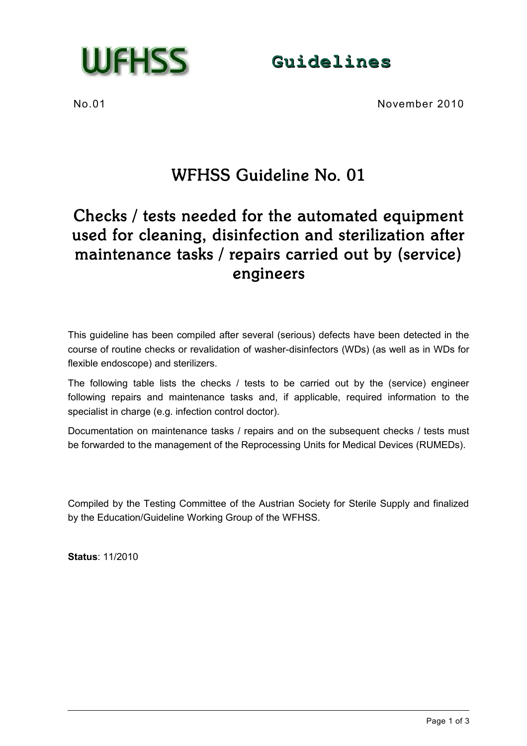

**Guidelines**

No.01 November 2010

# WFHSS Guideline No. 01

## Checks / tests needed for the automated equipment used for cleaning, disinfection and sterilization after maintenance tasks / repairs carried out by (service) engineers

This guideline has been compiled after several (serious) defects have been detected in the course of routine checks or revalidation of washer-disinfectors (WDs) (as well as in WDs for flexible endoscope) and sterilizers.

The following table lists the checks / tests to be carried out by the (service) engineer following repairs and maintenance tasks and, if applicable, required information to the specialist in charge (e.g. infection control doctor).

Documentation on maintenance tasks / repairs and on the subsequent checks / tests must be forwarded to the management of the Reprocessing Units for Medical Devices (RUMEDs).

Compiled by the Testing Committee of the Austrian Society for Sterile Supply and finalized by the Education/Guideline Working Group of the WFHSS.

**Status**: 11/2010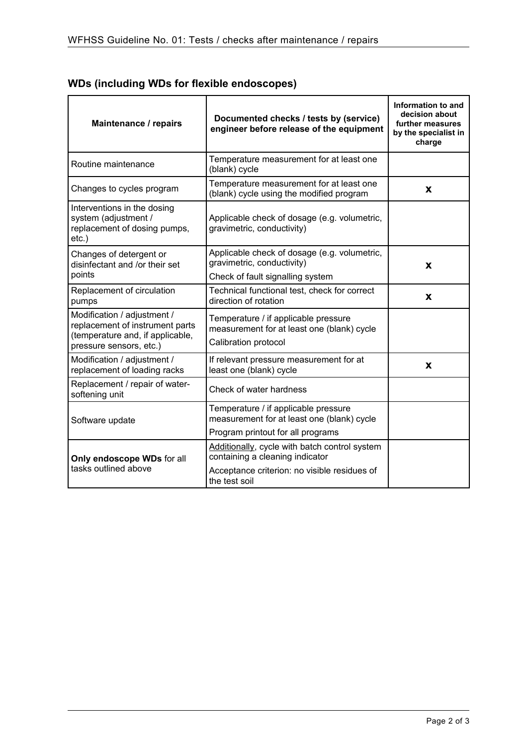| Maintenance / repairs                                                                                                         | Documented checks / tests by (service)<br>engineer before release of the equipment                                                                | Information to and<br>decision about<br>further measures<br>by the specialist in<br>charge |
|-------------------------------------------------------------------------------------------------------------------------------|---------------------------------------------------------------------------------------------------------------------------------------------------|--------------------------------------------------------------------------------------------|
| Routine maintenance                                                                                                           | Temperature measurement for at least one<br>(blank) cycle                                                                                         |                                                                                            |
| Changes to cycles program                                                                                                     | Temperature measurement for at least one<br>(blank) cycle using the modified program                                                              | X                                                                                          |
| Interventions in the dosing<br>system (adjustment /<br>replacement of dosing pumps,<br>etc.)                                  | Applicable check of dosage (e.g. volumetric,<br>gravimetric, conductivity)                                                                        |                                                                                            |
| Changes of detergent or<br>disinfectant and /or their set<br>points                                                           | Applicable check of dosage (e.g. volumetric,<br>gravimetric, conductivity)<br>Check of fault signalling system                                    | X                                                                                          |
| Replacement of circulation<br>pumps                                                                                           | Technical functional test, check for correct<br>direction of rotation                                                                             | X                                                                                          |
| Modification / adjustment /<br>replacement of instrument parts<br>(temperature and, if applicable,<br>pressure sensors, etc.) | Temperature / if applicable pressure<br>measurement for at least one (blank) cycle<br>Calibration protocol                                        |                                                                                            |
| Modification / adjustment /<br>replacement of loading racks                                                                   | If relevant pressure measurement for at<br>least one (blank) cycle                                                                                | X                                                                                          |
| Replacement / repair of water-<br>softening unit                                                                              | Check of water hardness                                                                                                                           |                                                                                            |
| Software update                                                                                                               | Temperature / if applicable pressure<br>measurement for at least one (blank) cycle<br>Program printout for all programs                           |                                                                                            |
| Only endoscope WDs for all<br>tasks outlined above                                                                            | Additionally, cycle with batch control system<br>containing a cleaning indicator<br>Acceptance criterion: no visible residues of<br>the test soil |                                                                                            |

### **WDs (including WDs for flexible endoscopes)**